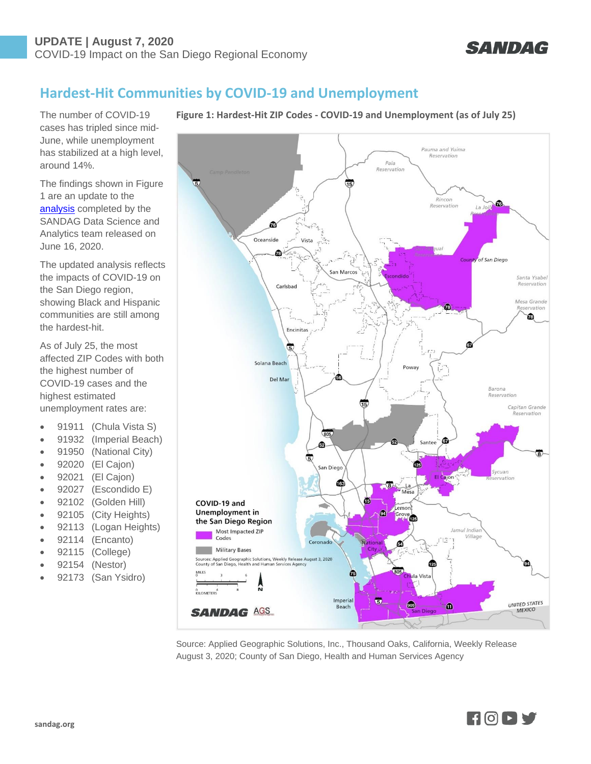

## **Hardest-Hit Communities by COVID-19 and Unemployment**

The number of COVID-19 cases has tripled since mid-June, while unemployment has stabilized at a high level, around 14%.

The findings shown in Figure 1 are an update to the [analysis](https://www.sandag.org/uploads/publicationid/publicationid_4679_27578.pdf) completed by the SANDAG Data Science and Analytics team released on June 16, 2020.

The updated analysis reflects the impacts of COVID-19 on the San Diego region, showing Black and Hispanic communities are still among the hardest-hit.

As of July 25, the most affected ZIP Codes with both the highest number of COVID-19 cases and the highest estimated unemployment rates are:

- 91911 (Chula Vista S)
- 91932 (Imperial Beach)
- 91950 (National City)
- 92020 (El Cajon)
- 92021 (El Cajon)
- 92027 (Escondido E)
- 92102 (Golden Hill)
- 92105 (City Heights)
- 92113 (Logan Heights)
- 92114 (Encanto)
- 92115 (College)
- 92154 (Nestor)
- 92173 (San Ysidro)

**Figure 1: Hardest-Hit ZIP Codes - COVID-19 and Unemployment (as of July 25)**



Source: Applied Geographic Solutions, Inc., Thousand Oaks, California, Weekly Release August 3, 2020; County of San Diego, Health and Human Services Agency

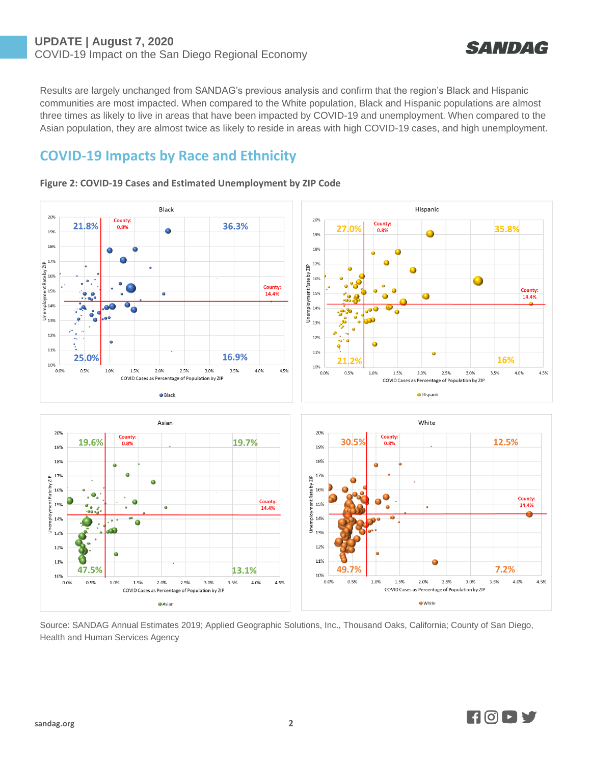

Results are largely unchanged from SANDAG's previous analysis and confirm that the region's Black and Hispanic communities are most impacted. When compared to the White population, Black and Hispanic populations are almost three times as likely to live in areas that have been impacted by COVID-19 and unemployment. When compared to the Asian population, they are almost twice as likely to reside in areas with high COVID-19 cases, and high unemployment.

## **COVID-19 Impacts by Race and Ethnicity**



## **Figure 2: COVID-19 Cases and Estimated Unemployment by ZIP Code**

Source: SANDAG Annual Estimates 2019; Applied Geographic Solutions, Inc., Thousand Oaks, California; County of San Diego, Health and Human Services Agency